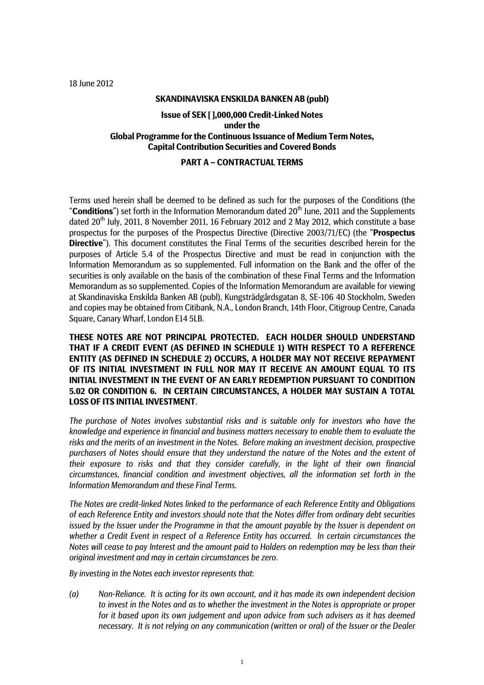18 June 2012

### **SKANDINAVISKA ENSKILDA BANKEN AB (publ)**

# **Issue of SEK [ ],000,000 Credit-Linked Notes under the Global Programme for the Continuous Issuance of Medium Term Notes, Capital Contribution Securities and Covered Bonds**

# **PART A – CONTRACTUAL TERMS**

Terms used herein shall be deemed to be defined as such for the purposes of the Conditions (the "Conditions") set forth in the Information Memorandum dated 20<sup>th</sup> June, 2011 and the Supplements dated 20<sup>th</sup> July, 2011, 8 November 2011, 16 February 2012 and 2 May 2012, which constitute a base prospectus for the purposes of the Prospectus Directive (Directive 2003/71/EC) (the "**Prospectus Directive**"). This document constitutes the Final Terms of the securities described herein for the purposes of Article 5.4 of the Prospectus Directive and must be read in conjunction with the Information Memorandum as so supplemented. Full information on the Bank and the offer of the securities is only available on the basis of the combination of these Final Terms and the Information Memorandum as so supplemented. Copies of the Information Memorandum are available for viewing at Skandinaviska Enskilda Banken AB (publ), Kungsträdgårdsgatan 8, SE-106 40 Stockholm, Sweden and copies may be obtained from Citibank, N.A., London Branch, 14th Floor, Citigroup Centre, Canada Square, Canary Wharf, London E14 5LB.

**THESE NOTES ARE NOT PRINCIPAL PROTECTED. EACH HOLDER SHOULD UNDERSTAND THAT IF A CREDIT EVENT (AS DEFINED IN SCHEDULE 1) WITH RESPECT TO A REFERENCE ENTITY (AS DEFINED IN SCHEDULE 2) OCCURS, A HOLDER MAY NOT RECEIVE REPAYMENT OF ITS INITIAL INVESTMENT IN FULL NOR MAY IT RECEIVE AN AMOUNT EQUAL TO ITS INITIAL INVESTMENT IN THE EVENT OF AN EARLY REDEMPTION PURSUANT TO CONDITION 5.02 OR CONDITION 6. IN CERTAIN CIRCUMSTANCES, A HOLDER MAY SUSTAIN A TOTAL LOSS OF ITS INITIAL INVESTMENT**.

*The purchase of Notes involves substantial risks and is suitable only for investors who have the knowledge and experience in financial and business matters necessary to enable them to evaluate the risks and the merits of an investment in the Notes. Before making an investment decision, prospective purchasers of Notes should ensure that they understand the nature of the Notes and the extent of their exposure to risks and that they consider carefully, in the light of their own financial circumstances, financial condition and investment objectives, all the information set forth in the Information Memorandum and these Final Terms*.

*The Notes are credit-linked Notes linked to the performance of each Reference Entity and Obligations of each Reference Entity and investors should note that the Notes differ from ordinary debt securities issued by the Issuer under the Programme in that the amount payable by the Issuer is dependent on whether a Credit Event in respect of a Reference Entity has occurred. In certain circumstances the Notes will cease to pay Interest and the amount paid to Holders on redemption may be less than their original investment and may in certain circumstances be zero*.

*By investing in the Notes each investor represents that*:

*(a) Non-Reliance. It is acting for its own account, and it has made its own independent decision to invest in the Notes and as to whether the investment in the Notes is appropriate or proper for it based upon its own judgement and upon advice from such advisers as it has deemed necessary. It is not relying on any communication (written or oral) of the Issuer or the Dealer*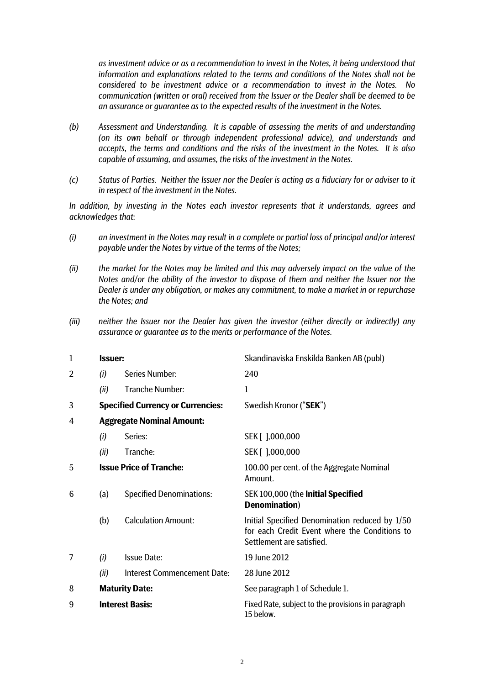*as investment advice or as a recommendation to invest in the Notes, it being understood that information and explanations related to the terms and conditions of the Notes shall not be considered to be investment advice or a recommendation to invest in the Notes. No communication (written or oral) received from the Issuer or the Dealer shall be deemed to be an assurance or guarantee as to the expected results of the investment in the Notes.* 

- *(b) Assessment and Understanding. It is capable of assessing the merits of and understanding (on its own behalf or through independent professional advice), and understands and accepts, the terms and conditions and the risks of the investment in the Notes. It is also capable of assuming, and assumes, the risks of the investment in the Notes.*
- *(c) Status of Parties. Neither the Issuer nor the Dealer is acting as a fiduciary for or adviser to it in respect of the investment in the Notes.*

*In addition, by investing in the Notes each investor represents that it understands, agrees and acknowledges that*:

- *(i) an investment in the Notes may result in a complete or partial loss of principal and/or interest payable under the Notes by virtue of the terms of the Notes;*
- *(ii) the market for the Notes may be limited and this may adversely impact on the value of the Notes and/or the ability of the investor to dispose of them and neither the Issuer nor the Dealer is under any obligation, or makes any commitment, to make a market in or repurchase the Notes; and*
- *(iii) neither the Issuer nor the Dealer has given the investor (either directly or indirectly) any assurance or guarantee as to the merits or performance of the Notes.*

| 1              | <b>Issuer:</b>         |                                          | Skandinaviska Enskilda Banken AB (publ)                                                                                      |  |
|----------------|------------------------|------------------------------------------|------------------------------------------------------------------------------------------------------------------------------|--|
| $\overline{2}$ | (i)                    | <b>Series Number:</b>                    | 240                                                                                                                          |  |
|                | (ii)                   | <b>Tranche Number:</b>                   | $\mathbf{1}$                                                                                                                 |  |
| 3              |                        | <b>Specified Currency or Currencies:</b> | Swedish Kronor ("SEK")                                                                                                       |  |
| 4              |                        | <b>Aggregate Nominal Amount:</b>         |                                                                                                                              |  |
|                | (i)                    | Series:                                  | SEK [ 1,000,000                                                                                                              |  |
|                | (ii)                   | Tranche:                                 | SEK [ 1,000,000                                                                                                              |  |
| 5              |                        | <b>Issue Price of Tranche:</b>           | 100.00 per cent. of the Aggregate Nominal<br>Amount.                                                                         |  |
| 6              | (a)                    | <b>Specified Denominations:</b>          | SEK 100,000 (the Initial Specified<br><b>Denomination</b> )                                                                  |  |
|                | (b)                    | <b>Calculation Amount:</b>               | Initial Specified Denomination reduced by 1/50<br>for each Credit Event where the Conditions to<br>Settlement are satisfied. |  |
| 7              | (i)                    | <b>Issue Date:</b>                       | 19 June 2012                                                                                                                 |  |
|                | (ii)                   | <b>Interest Commencement Date:</b>       | 28 June 2012                                                                                                                 |  |
| 8              |                        | <b>Maturity Date:</b>                    | See paragraph 1 of Schedule 1.                                                                                               |  |
| 9              | <b>Interest Basis:</b> |                                          | Fixed Rate, subject to the provisions in paragraph<br>15 below.                                                              |  |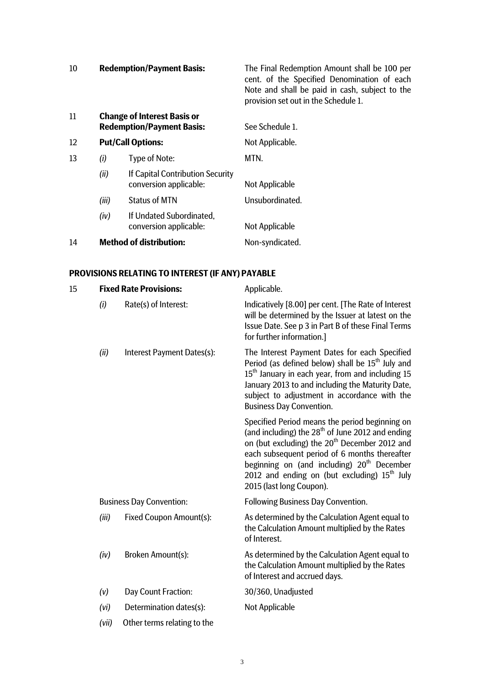| 10                | <b>Redemption/Payment Basis:</b>                                       | The Final Redemption Amount shall be 100 per<br>cent. of the Specified Denomination of each<br>Note and shall be paid in cash, subject to the<br>provision set out in the Schedule 1. |
|-------------------|------------------------------------------------------------------------|---------------------------------------------------------------------------------------------------------------------------------------------------------------------------------------|
| 11                | <b>Change of Interest Basis or</b><br><b>Redemption/Payment Basis:</b> | See Schedule 1.                                                                                                                                                                       |
| $12 \overline{ }$ | <b>Put/Call Options:</b>                                               | Not Applicable.                                                                                                                                                                       |
| 13                | Type of Note:<br>(1)                                                   | MTN.                                                                                                                                                                                  |

| (ii)  | If Capital Contribution Security |                 |  |
|-------|----------------------------------|-----------------|--|
|       | conversion applicable:           | Not Applicable  |  |
| (iii) | <b>Status of MTN</b>             | Unsubordinated. |  |

*(iv)* If Undated Subordinated, conversion applicable: Not Applicable

14 **Method of distribution:** Non-syndicated.

# **PROVISIONS RELATING TO INTEREST (IF ANY) PAYABLE**

| 15 |       | <b>Fixed Rate Provisions:</b>   | Applicable.                                                                                                                                                                                                                                                                                                                                                |  |
|----|-------|---------------------------------|------------------------------------------------------------------------------------------------------------------------------------------------------------------------------------------------------------------------------------------------------------------------------------------------------------------------------------------------------------|--|
|    | (i)   | Rate(s) of Interest:            | Indicatively [8.00] per cent. [The Rate of Interest<br>will be determined by the Issuer at latest on the<br>Issue Date. See p 3 in Part B of these Final Terms<br>for further information.]                                                                                                                                                                |  |
|    | (ii)  | Interest Payment Dates(s):      | The Interest Payment Dates for each Specified<br>Period (as defined below) shall be 15 <sup>th</sup> July and<br>15 <sup>th</sup> January in each year, from and including 15<br>January 2013 to and including the Maturity Date,<br>subject to adjustment in accordance with the<br><b>Business Day Convention.</b>                                       |  |
|    |       |                                 | Specified Period means the period beginning on<br>(and including) the $28th$ of June 2012 and ending<br>on (but excluding) the 20 <sup>th</sup> December 2012 and<br>each subsequent period of 6 months thereafter<br>beginning on (and including) 20 <sup>th</sup> December<br>2012 and ending on (but excluding) $15th$ July<br>2015 (last long Coupon). |  |
|    |       | <b>Business Day Convention:</b> | <b>Following Business Day Convention.</b>                                                                                                                                                                                                                                                                                                                  |  |
|    | (iii) | <b>Fixed Coupon Amount(s):</b>  | As determined by the Calculation Agent equal to<br>the Calculation Amount multiplied by the Rates<br>of Interest.                                                                                                                                                                                                                                          |  |
|    | (iv)  | Broken Amount(s):               | As determined by the Calculation Agent equal to<br>the Calculation Amount multiplied by the Rates<br>of Interest and accrued days.                                                                                                                                                                                                                         |  |
|    | (v)   | Day Count Fraction:             | 30/360, Unadjusted                                                                                                                                                                                                                                                                                                                                         |  |
|    | (vi)  | Determination dates(s):         | <b>Not Applicable</b>                                                                                                                                                                                                                                                                                                                                      |  |
|    | (vii) | Other terms relating to the     |                                                                                                                                                                                                                                                                                                                                                            |  |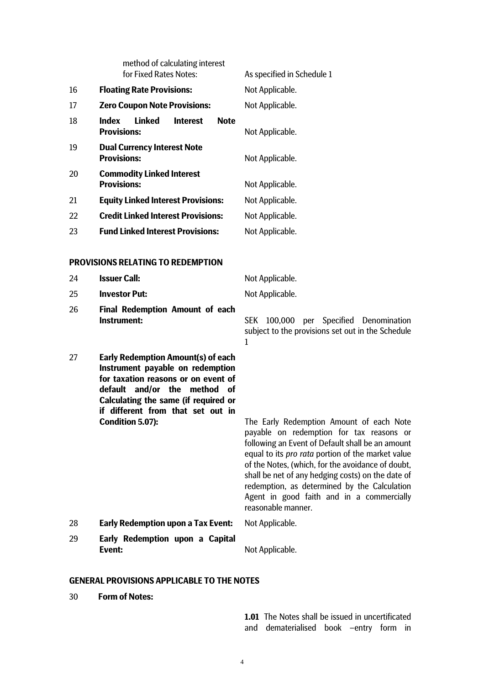|    | method of calculating interest<br>for Fixed Rates Notes:         | As specified in Schedule 1 |
|----|------------------------------------------------------------------|----------------------------|
| 16 | <b>Floating Rate Provisions:</b>                                 | Not Applicable.            |
| 17 | <b>Zero Coupon Note Provisions:</b>                              | Not Applicable.            |
| 18 | Linked<br>Index<br><b>Note</b><br><b>Interest</b><br>Provisions: | Not Applicable.            |
| 19 | <b>Dual Currency Interest Note</b><br><b>Provisions:</b>         | Not Applicable.            |
| 20 | <b>Commodity Linked Interest</b><br><b>Provisions:</b>           | Not Applicable.            |
| 21 | <b>Equity Linked Interest Provisions:</b>                        | Not Applicable.            |
| 22 | <b>Credit Linked Interest Provisions:</b>                        | Not Applicable.            |
| 23 | <b>Fund Linked Interest Provisions:</b>                          | Not Applicable.            |
|    |                                                                  |                            |

# **PROVISIONS RELATING TO REDEMPTION**

24 **Issuer Call:** Not Applicable.

| 25 | <b>Investor Put:</b>                                                                                                                                                                                                                                  | Not Applicable.                                                                                                                                                                                                                                                                                                                                                                                                                   |
|----|-------------------------------------------------------------------------------------------------------------------------------------------------------------------------------------------------------------------------------------------------------|-----------------------------------------------------------------------------------------------------------------------------------------------------------------------------------------------------------------------------------------------------------------------------------------------------------------------------------------------------------------------------------------------------------------------------------|
| 26 | <b>Final Redemption Amount of each</b><br>Instrument:                                                                                                                                                                                                 | SEK 100,000 per Specified Denomination<br>subject to the provisions set out in the Schedule<br>1                                                                                                                                                                                                                                                                                                                                  |
| 27 | <b>Early Redemption Amount(s) of each</b><br>Instrument payable on redemption<br>for taxation reasons or on event of<br>default and/or the method of<br>Calculating the same (if required or<br>if different from that set out in<br>Condition 5.07): | The Early Redemption Amount of each Note<br>payable on redemption for tax reasons or<br>following an Event of Default shall be an amount<br>equal to its <i>pro rata</i> portion of the market value<br>of the Notes, (which, for the avoidance of doubt,<br>shall be net of any hedging costs) on the date of<br>redemption, as determined by the Calculation<br>Agent in good faith and in a commercially<br>reasonable manner. |
| 28 | <b>Early Redemption upon a Tax Event:</b>                                                                                                                                                                                                             | Not Applicable.                                                                                                                                                                                                                                                                                                                                                                                                                   |
| 29 | Early Redemption upon a Capital<br>Event:                                                                                                                                                                                                             | Not Applicable.                                                                                                                                                                                                                                                                                                                                                                                                                   |

### **GENERAL PROVISIONS APPLICABLE TO THE NOTES**

30 **Form of Notes:** 

**1.01** The Notes shall be issued in uncertificated and dematerialised book –entry form in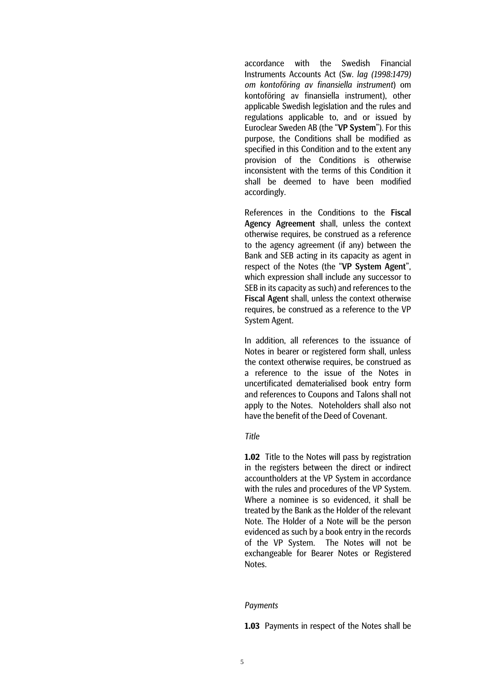accordance with the Swedish Financial Instruments Accounts Act (Sw. *lag (1998:1479) om kontoföring av finansiella instrument*) om kontoföring av finansiella instrument), other applicable Swedish legislation and the rules and regulations applicable to, and or issued by Euroclear Sweden AB (the "VP System"). For this purpose, the Conditions shall be modified as specified in this Condition and to the extent any provision of the Conditions is otherwise inconsistent with the terms of this Condition it shall be deemed to have been modified accordingly.

References in the Conditions to the Fiscal Agency Agreement shall, unless the context otherwise requires, be construed as a reference to the agency agreement (if any) between the Bank and SEB acting in its capacity as agent in respect of the Notes (the "VP System Agent", which expression shall include any successor to SEB in its capacity as such) and references to the Fiscal Agent shall, unless the context otherwise requires, be construed as a reference to the VP System Agent.

In addition, all references to the issuance of Notes in bearer or registered form shall, unless the context otherwise requires, be construed as a reference to the issue of the Notes in uncertificated dematerialised book entry form and references to Coupons and Talons shall not apply to the Notes. Noteholders shall also not have the benefit of the Deed of Covenant.

#### *Title*

**1.02** Title to the Notes will pass by registration in the registers between the direct or indirect accountholders at the VP System in accordance with the rules and procedures of the VP System. Where a nominee is so evidenced, it shall be treated by the Bank as the Holder of the relevant Note. The Holder of a Note will be the person evidenced as such by a book entry in the records of the VP System. The Notes will not be exchangeable for Bearer Notes or Registered Notes.

### *Payments*

**1.03** Payments in respect of the Notes shall be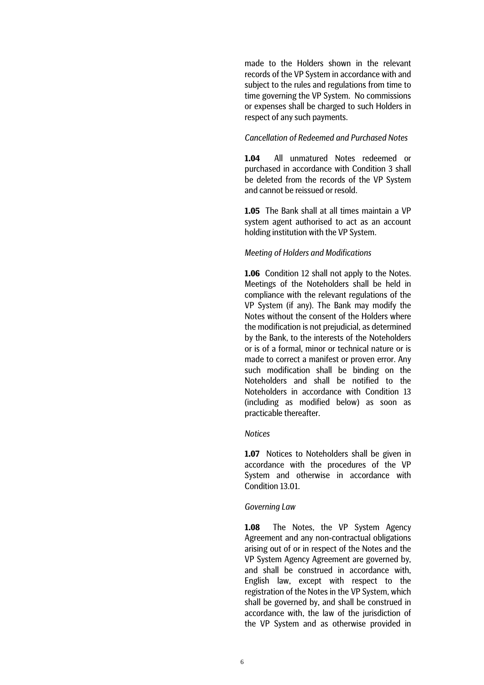made to the Holders shown in the relevant records of the VP System in accordance with and subject to the rules and regulations from time to time governing the VP System. No commissions or expenses shall be charged to such Holders in respect of any such payments.

# *Cancellation of Redeemed and Purchased Notes*

**1.04** All unmatured Notes redeemed or purchased in accordance with Condition 3 shall be deleted from the records of the VP System and cannot be reissued or resold.

**1.05** The Bank shall at all times maintain a VP system agent authorised to act as an account holding institution with the VP System.

### *Meeting of Holders and Modifications*

**1.06** Condition 12 shall not apply to the Notes. Meetings of the Noteholders shall be held in compliance with the relevant regulations of the VP System (if any). The Bank may modify the Notes without the consent of the Holders where the modification is not prejudicial, as determined by the Bank, to the interests of the Noteholders or is of a formal, minor or technical nature or is made to correct a manifest or proven error. Any such modification shall be binding on the Noteholders and shall be notified to the Noteholders in accordance with Condition 13 (including as modified below) as soon as practicable thereafter.

# *Notices*

**1.07** Notices to Noteholders shall be given in accordance with the procedures of the VP System and otherwise in accordance with Condition 13.01.

#### *Governing Law*

**1.08** The Notes, the VP System Agency Agreement and any non-contractual obligations arising out of or in respect of the Notes and the VP System Agency Agreement are governed by, and shall be construed in accordance with, English law, except with respect to the registration of the Notes in the VP System, which shall be governed by, and shall be construed in accordance with, the law of the jurisdiction of the VP System and as otherwise provided in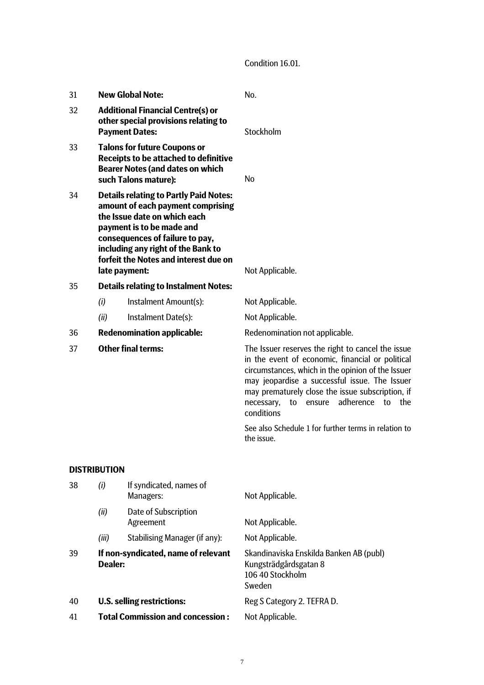Condition 16.01.

| 31 | <b>New Global Note:</b>                                                                                                                                                                                                                                                            |                                                                                                                                                        | No.                                                                                                                                                                                                                                                                                                                                                                                           |
|----|------------------------------------------------------------------------------------------------------------------------------------------------------------------------------------------------------------------------------------------------------------------------------------|--------------------------------------------------------------------------------------------------------------------------------------------------------|-----------------------------------------------------------------------------------------------------------------------------------------------------------------------------------------------------------------------------------------------------------------------------------------------------------------------------------------------------------------------------------------------|
| 32 |                                                                                                                                                                                                                                                                                    | <b>Additional Financial Centre(s) or</b><br>other special provisions relating to<br><b>Payment Dates:</b>                                              | Stockholm                                                                                                                                                                                                                                                                                                                                                                                     |
| 33 |                                                                                                                                                                                                                                                                                    | <b>Talons for future Coupons or</b><br><b>Receipts to be attached to definitive</b><br><b>Bearer Notes (and dates on which</b><br>such Talons mature): | <b>No</b>                                                                                                                                                                                                                                                                                                                                                                                     |
| 34 | <b>Details relating to Partly Paid Notes:</b><br>amount of each payment comprising<br>the Issue date on which each<br>payment is to be made and<br>consequences of failure to pay,<br>including any right of the Bank to<br>forfeit the Notes and interest due on<br>late payment: |                                                                                                                                                        | Not Applicable.                                                                                                                                                                                                                                                                                                                                                                               |
| 35 |                                                                                                                                                                                                                                                                                    | <b>Details relating to Instalment Notes:</b>                                                                                                           |                                                                                                                                                                                                                                                                                                                                                                                               |
|    | (i)                                                                                                                                                                                                                                                                                | Instalment Amount(s):                                                                                                                                  | Not Applicable.                                                                                                                                                                                                                                                                                                                                                                               |
|    | (ii)                                                                                                                                                                                                                                                                               | Instalment Date(s):                                                                                                                                    | Not Applicable.                                                                                                                                                                                                                                                                                                                                                                               |
| 36 |                                                                                                                                                                                                                                                                                    | <b>Redenomination applicable:</b>                                                                                                                      | Redenomination not applicable.                                                                                                                                                                                                                                                                                                                                                                |
| 37 |                                                                                                                                                                                                                                                                                    | <b>Other final terms:</b>                                                                                                                              | The Issuer reserves the right to cancel the issue<br>in the event of economic, financial or political<br>circumstances, which in the opinion of the Issuer<br>may jeopardise a successful issue. The Issuer<br>may prematurely close the issue subscription, if<br>adherence<br>necessary,<br>to<br>ensure<br>to<br>the<br>conditions<br>See also Schedule 1 for further terms in relation to |
|    |                                                                                                                                                                                                                                                                                    |                                                                                                                                                        | the issue.                                                                                                                                                                                                                                                                                                                                                                                    |
|    | <b>DISTRIBUTION</b>                                                                                                                                                                                                                                                                |                                                                                                                                                        |                                                                                                                                                                                                                                                                                                                                                                                               |
| 38 | (i)                                                                                                                                                                                                                                                                                | If syndicated, names of<br>Managers:                                                                                                                   | Not Applicable.                                                                                                                                                                                                                                                                                                                                                                               |
|    | (ii)                                                                                                                                                                                                                                                                               | Date of Subscription<br>Agreement                                                                                                                      | Not Applicable.                                                                                                                                                                                                                                                                                                                                                                               |
|    | (iii)                                                                                                                                                                                                                                                                              | <b>Stabilising Manager (if any):</b>                                                                                                                   | Not Applicable.                                                                                                                                                                                                                                                                                                                                                                               |
| 39 | Dealer:                                                                                                                                                                                                                                                                            | If non-syndicated, name of relevant                                                                                                                    | Skandinaviska Enskilda Banken AB (publ)<br>Kungsträdgårdsgatan 8<br>106 40 Stockholm<br>Sweden                                                                                                                                                                                                                                                                                                |
| 40 |                                                                                                                                                                                                                                                                                    | <b>U.S. selling restrictions:</b>                                                                                                                      | Reg S Category 2. TEFRA D.                                                                                                                                                                                                                                                                                                                                                                    |
| 41 |                                                                                                                                                                                                                                                                                    | <b>Total Commission and concession:</b>                                                                                                                | Not Applicable.                                                                                                                                                                                                                                                                                                                                                                               |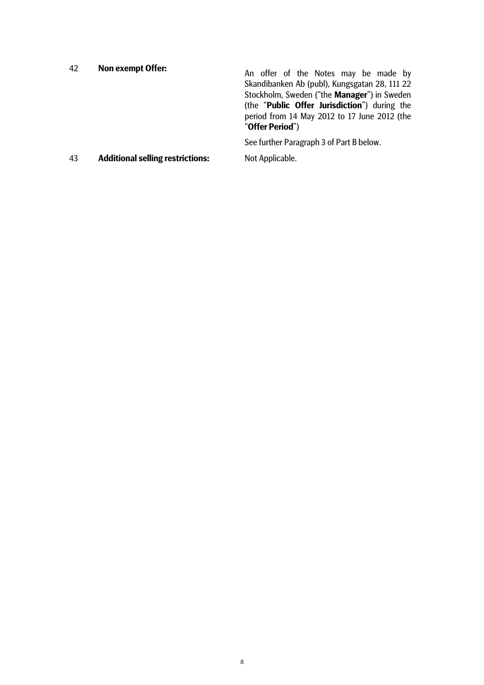| 42 | <b>Non exempt Offer:</b>                | An offer of the Notes may be made by<br>Skandibanken Ab (publ), Kungsgatan 28, 111 22<br>Stockholm, Sweden ("the Manager") in Sweden<br>(the "Public Offer Jurisdiction") during the<br>period from 14 May 2012 to 17 June 2012 (the<br>"Offer Period") |
|----|-----------------------------------------|---------------------------------------------------------------------------------------------------------------------------------------------------------------------------------------------------------------------------------------------------------|
|    |                                         | See further Paragraph 3 of Part B below.                                                                                                                                                                                                                |
| 43 | <b>Additional selling restrictions:</b> | Not Applicable.                                                                                                                                                                                                                                         |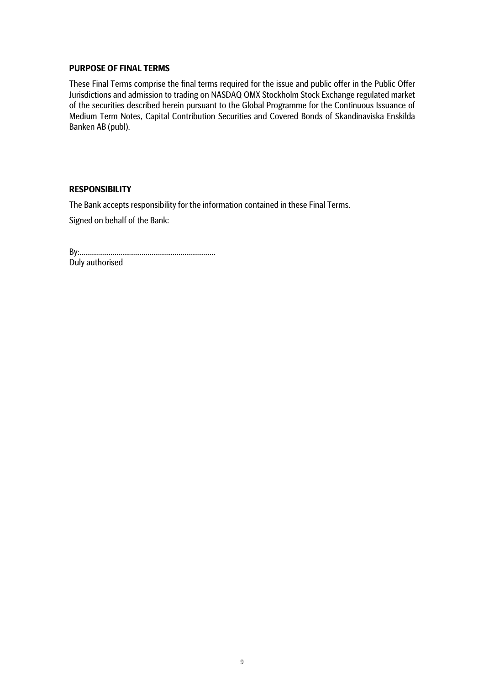# **PURPOSE OF FINAL TERMS**

These Final Terms comprise the final terms required for the issue and public offer in the Public Offer Jurisdictions and admission to trading on NASDAQ OMX Stockholm Stock Exchange regulated market of the securities described herein pursuant to the Global Programme for the Continuous Issuance of Medium Term Notes, Capital Contribution Securities and Covered Bonds of Skandinaviska Enskilda Banken AB (publ).

# **RESPONSIBILITY**

The Bank accepts responsibility for the information contained in these Final Terms.

Signed on behalf of the Bank:

| Duly authorised |  |
|-----------------|--|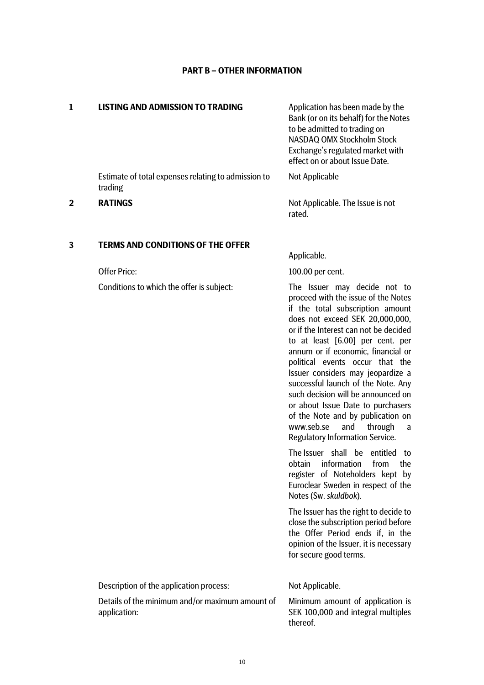# **PART B – OTHER INFORMATION**

| 1            | <b>LISTING AND ADMISSION TO TRADING</b>                          | Application has been made by the<br>Bank (or on its behalf) for the Notes<br>to be admitted to trading on<br>NASDAQ OMX Stockholm Stock<br>Exchange's regulated market with<br>effect on or about Issue Date.                                                                                                                                                                                                                                                                                                                                                                                  |
|--------------|------------------------------------------------------------------|------------------------------------------------------------------------------------------------------------------------------------------------------------------------------------------------------------------------------------------------------------------------------------------------------------------------------------------------------------------------------------------------------------------------------------------------------------------------------------------------------------------------------------------------------------------------------------------------|
|              | Estimate of total expenses relating to admission to<br>trading   | Not Applicable                                                                                                                                                                                                                                                                                                                                                                                                                                                                                                                                                                                 |
| $\mathbf{2}$ | <b>RATINGS</b>                                                   | Not Applicable. The Issue is not<br>rated.                                                                                                                                                                                                                                                                                                                                                                                                                                                                                                                                                     |
| 3            | <b>TERMS AND CONDITIONS OF THE OFFER</b>                         |                                                                                                                                                                                                                                                                                                                                                                                                                                                                                                                                                                                                |
|              |                                                                  | Applicable.                                                                                                                                                                                                                                                                                                                                                                                                                                                                                                                                                                                    |
|              | <b>Offer Price:</b><br>Conditions to which the offer is subject: | 100.00 per cent.<br>The Issuer may decide not to<br>proceed with the issue of the Notes<br>if the total subscription amount<br>does not exceed SEK 20,000,000,<br>or if the Interest can not be decided<br>to at least [6.00] per cent. per<br>annum or if economic, financial or<br>political events occur that the<br>Issuer considers may jeopardize a<br>successful launch of the Note. Any<br>such decision will be announced on<br>or about Issue Date to purchasers<br>of the Note and by publication on<br>www.seb.se<br>and<br>through<br>a<br><b>Regulatory Information Service.</b> |
|              |                                                                  | The Issuer shall be entitled<br>to<br>obtain information<br>from<br>the.<br>register of Noteholders kept by<br>Euroclear Sweden in respect of the<br>Notes (Sw. skuldbok).<br>The Issuer has the right to decide to                                                                                                                                                                                                                                                                                                                                                                            |
|              |                                                                  | close the subscription period before<br>the Offer Period ends if, in the<br>opinion of the Issuer, it is necessary<br>for secure good terms.                                                                                                                                                                                                                                                                                                                                                                                                                                                   |
|              | Description of the application process:                          | Not Applicable.                                                                                                                                                                                                                                                                                                                                                                                                                                                                                                                                                                                |
|              | Details of the minimum and/or maximum amount of<br>application:  | Minimum amount of application is<br>SEK 100,000 and integral multiples<br>thereof.                                                                                                                                                                                                                                                                                                                                                                                                                                                                                                             |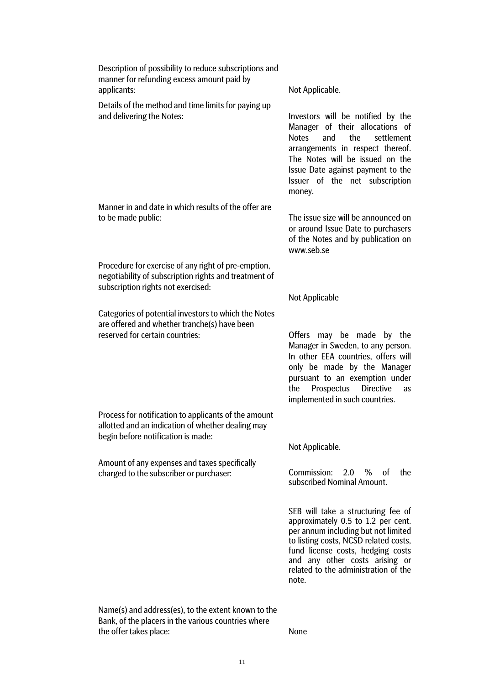| Description of possibility to reduce subscriptions and<br>manner for refunding excess amount paid by<br>applicants:                                | Not Applicable.                                                                                                                                                                                                                                                                  |
|----------------------------------------------------------------------------------------------------------------------------------------------------|----------------------------------------------------------------------------------------------------------------------------------------------------------------------------------------------------------------------------------------------------------------------------------|
| Details of the method and time limits for paying up<br>and delivering the Notes:                                                                   | Investors will be notified by the<br>Manager of their allocations of<br><b>Notes</b><br>and<br>the<br>settlement<br>arrangements in respect thereof.<br>The Notes will be issued on the<br>Issue Date against payment to the<br>Issuer of the net subscription<br>money.         |
| Manner in and date in which results of the offer are<br>to be made public:                                                                         | The issue size will be announced on<br>or around Issue Date to purchasers<br>of the Notes and by publication on<br>www.seb.se                                                                                                                                                    |
| Procedure for exercise of any right of pre-emption,<br>negotiability of subscription rights and treatment of<br>subscription rights not exercised: |                                                                                                                                                                                                                                                                                  |
|                                                                                                                                                    | Not Applicable                                                                                                                                                                                                                                                                   |
| Categories of potential investors to which the Notes<br>are offered and whether tranche(s) have been<br>reserved for certain countries:            | <b>Offers</b><br>may be made by the<br>Manager in Sweden, to any person.<br>In other EEA countries, offers will<br>only be made by the Manager<br>pursuant to an exemption under<br>Prospectus<br>the<br><b>Directive</b><br><b>as</b><br>implemented in such countries.         |
| Process for notification to applicants of the amount<br>allotted and an indication of whether dealing may<br>begin before notification is made:    |                                                                                                                                                                                                                                                                                  |
|                                                                                                                                                    | Not Applicable.                                                                                                                                                                                                                                                                  |
| Amount of any expenses and taxes specifically<br>charged to the subscriber or purchaser:                                                           | Commission: 2.0 %<br>of<br>the<br>subscribed Nominal Amount.                                                                                                                                                                                                                     |
|                                                                                                                                                    | SEB will take a structuring fee of<br>approximately 0.5 to 1.2 per cent.<br>per annum including but not limited<br>to listing costs, NCSD related costs,<br>fund license costs, hedging costs<br>and any other costs arising or<br>related to the administration of the<br>note. |
| Name(s) and address(es), to the extent known to the                                                                                                |                                                                                                                                                                                                                                                                                  |

Bank, of the placers in the various countries where the offer takes place: None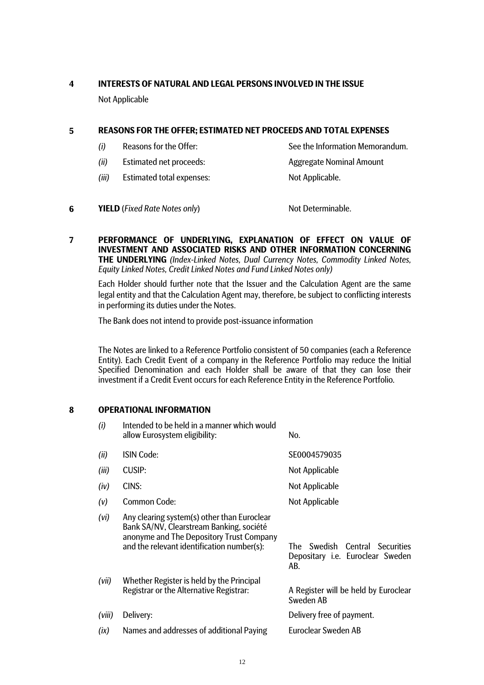# **4 INTERESTS OF NATURAL AND LEGAL PERSONS INVOLVED IN THE ISSUE**

Not Applicable

# **5 REASONS FOR THE OFFER; ESTIMATED NET PROCEEDS AND TOTAL EXPENSES**

- *(i)* Reasons for the Offer: See the Information Memorandum.
	-
- *(ii)* Estimated net proceeds: Aggregate Nominal Amount
- *(iii)* Estimated total expenses: Not Applicable.
- **6 YIELD** (*Fixed Rate Notes only*) Not Determinable.
- **7 PERFORMANCE OF UNDERLYING, EXPLANATION OF EFFECT ON VALUE OF INVESTMENT AND ASSOCIATED RISKS AND OTHER INFORMATION CONCERNING THE UNDERLYING** *(Index-Linked Notes, Dual Currency Notes, Commodity Linked Notes, Equity Linked Notes, Credit Linked Notes and Fund Linked Notes only)*

 Each Holder should further note that the Issuer and the Calculation Agent are the same legal entity and that the Calculation Agent may, therefore, be subject to conflicting interests in performing its duties under the Notes.

The Bank does not intend to provide post-issuance information

The Notes are linked to a Reference Portfolio consistent of 50 companies (each a Reference Entity). Each Credit Event of a company in the Reference Portfolio may reduce the Initial Specified Denomination and each Holder shall be aware of that they can lose their investment if a Credit Event occurs for each Reference Entity in the Reference Portfolio.

# **8 OPERATIONAL INFORMATION**

| (i)    | Intended to be held in a manner which would<br>allow Eurosystem eligibility:                                                                                                      | No.                                                                            |
|--------|-----------------------------------------------------------------------------------------------------------------------------------------------------------------------------------|--------------------------------------------------------------------------------|
| (ii)   | <b>ISIN Code:</b>                                                                                                                                                                 | SE0004579035                                                                   |
| (iii)  | CUSIP:                                                                                                                                                                            | Not Applicable                                                                 |
| (iv)   | CINS:                                                                                                                                                                             | Not Applicable                                                                 |
| (v)    | Common Code:                                                                                                                                                                      | Not Applicable                                                                 |
| (vi)   | Any clearing system(s) other than Euroclear<br>Bank SA/NV, Clearstream Banking, société<br>anonyme and The Depository Trust Company<br>and the relevant identification number(s): | Swedish Central Securities<br>The I<br>Depositary i.e. Euroclear Sweden<br>AB. |
| (vii)  | Whether Register is held by the Principal<br>Registrar or the Alternative Registrar:                                                                                              | A Register will be held by Euroclear<br>Sweden AB                              |
| (viii) | Delivery:                                                                                                                                                                         | Delivery free of payment.                                                      |
| (ix)   | Names and addresses of additional Paying                                                                                                                                          | Euroclear Sweden AB                                                            |
|        |                                                                                                                                                                                   |                                                                                |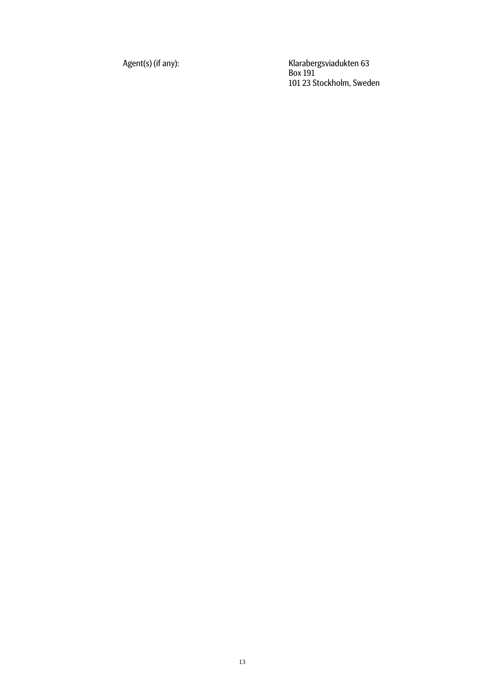Agent(s) (if any): Klarabergsviadukten 63 Box 191 101 23 Stockholm, Sweden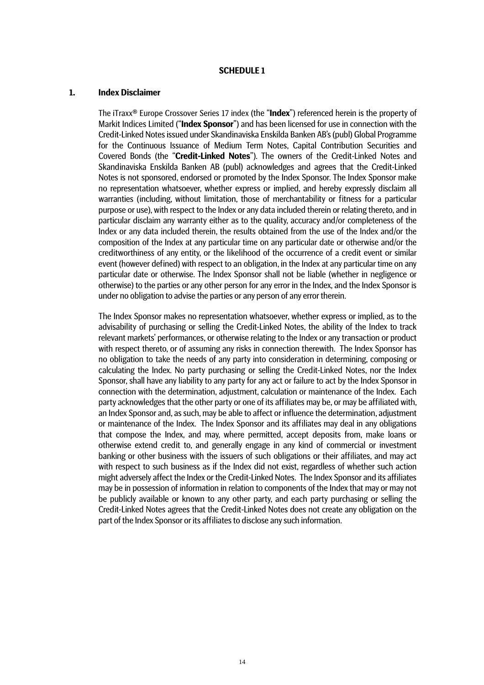#### **SCHEDULE 1**

#### **1. Index Disclaimer**

The iTraxx® Europe Crossover Series 17 index (the "**Index**") referenced herein is the property of Markit Indices Limited ("**Index Sponsor**") and has been licensed for use in connection with the Credit-Linked Notes issued under Skandinaviska Enskilda Banken AB's (publ) Global Programme for the Continuous Issuance of Medium Term Notes, Capital Contribution Securities and Covered Bonds (the "**Credit-Linked Notes**"). The owners of the Credit-Linked Notes and Skandinaviska Enskilda Banken AB (publ) acknowledges and agrees that the Credit-Linked Notes is not sponsored, endorsed or promoted by the Index Sponsor. The Index Sponsor make no representation whatsoever, whether express or implied, and hereby expressly disclaim all warranties (including, without limitation, those of merchantability or fitness for a particular purpose or use), with respect to the Index or any data included therein or relating thereto, and in particular disclaim any warranty either as to the quality, accuracy and/or completeness of the Index or any data included therein, the results obtained from the use of the Index and/or the composition of the Index at any particular time on any particular date or otherwise and/or the creditworthiness of any entity, or the likelihood of the occurrence of a credit event or similar event (however defined) with respect to an obligation, in the Index at any particular time on any particular date or otherwise. The Index Sponsor shall not be liable (whether in negligence or otherwise) to the parties or any other person for any error in the Index, and the Index Sponsor is under no obligation to advise the parties or any person of any error therein.

The Index Sponsor makes no representation whatsoever, whether express or implied, as to the advisability of purchasing or selling the Credit-Linked Notes, the ability of the Index to track relevant markets' performances, or otherwise relating to the Index or any transaction or product with respect thereto, or of assuming any risks in connection therewith. The Index Sponsor has no obligation to take the needs of any party into consideration in determining, composing or calculating the Index. No party purchasing or selling the Credit-Linked Notes, nor the Index Sponsor, shall have any liability to any party for any act or failure to act by the Index Sponsor in connection with the determination, adjustment, calculation or maintenance of the Index. Each party acknowledges that the other party or one of its affiliates may be, or may be affiliated with, an Index Sponsor and, as such, may be able to affect or influence the determination, adjustment or maintenance of the Index. The Index Sponsor and its affiliates may deal in any obligations that compose the Index, and may, where permitted, accept deposits from, make loans or otherwise extend credit to, and generally engage in any kind of commercial or investment banking or other business with the issuers of such obligations or their affiliates, and may act with respect to such business as if the Index did not exist, regardless of whether such action might adversely affect the Index or the Credit-Linked Notes. The Index Sponsor and its affiliates may be in possession of information in relation to components of the Index that may or may not be publicly available or known to any other party, and each party purchasing or selling the Credit-Linked Notes agrees that the Credit-Linked Notes does not create any obligation on the part of the Index Sponsor or its affiliates to disclose any such information.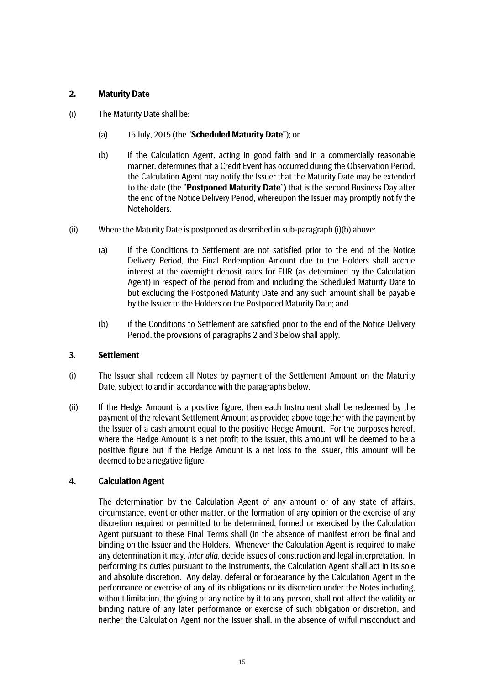# **2. Maturity Date**

- (i) The Maturity Date shall be:
	- (a) 15 July, 2015 (the "**Scheduled Maturity Date**"); or
	- (b) if the Calculation Agent, acting in good faith and in a commercially reasonable manner, determines that a Credit Event has occurred during the Observation Period, the Calculation Agent may notify the Issuer that the Maturity Date may be extended to the date (the "**Postponed Maturity Date**") that is the second Business Day after the end of the Notice Delivery Period, whereupon the Issuer may promptly notify the Noteholders.
- (ii) Where the Maturity Date is postponed as described in sub-paragraph (i)(b) above:
	- (a) if the Conditions to Settlement are not satisfied prior to the end of the Notice Delivery Period, the Final Redemption Amount due to the Holders shall accrue interest at the overnight deposit rates for EUR (as determined by the Calculation Agent) in respect of the period from and including the Scheduled Maturity Date to but excluding the Postponed Maturity Date and any such amount shall be payable by the Issuer to the Holders on the Postponed Maturity Date; and
	- (b) if the Conditions to Settlement are satisfied prior to the end of the Notice Delivery Period, the provisions of paragraphs 2 and 3 below shall apply.

# **3. Settlement**

- (i) The Issuer shall redeem all Notes by payment of the Settlement Amount on the Maturity Date, subject to and in accordance with the paragraphs below.
- (ii) If the Hedge Amount is a positive figure, then each Instrument shall be redeemed by the payment of the relevant Settlement Amount as provided above together with the payment by the Issuer of a cash amount equal to the positive Hedge Amount. For the purposes hereof, where the Hedge Amount is a net profit to the Issuer, this amount will be deemed to be a positive figure but if the Hedge Amount is a net loss to the Issuer, this amount will be deemed to be a negative figure.

# **4. Calculation Agent**

The determination by the Calculation Agent of any amount or of any state of affairs, circumstance, event or other matter, or the formation of any opinion or the exercise of any discretion required or permitted to be determined, formed or exercised by the Calculation Agent pursuant to these Final Terms shall (in the absence of manifest error) be final and binding on the Issuer and the Holders. Whenever the Calculation Agent is required to make any determination it may, *inter alia*, decide issues of construction and legal interpretation. In performing its duties pursuant to the Instruments, the Calculation Agent shall act in its sole and absolute discretion. Any delay, deferral or forbearance by the Calculation Agent in the performance or exercise of any of its obligations or its discretion under the Notes including, without limitation, the giving of any notice by it to any person, shall not affect the validity or binding nature of any later performance or exercise of such obligation or discretion, and neither the Calculation Agent nor the Issuer shall, in the absence of wilful misconduct and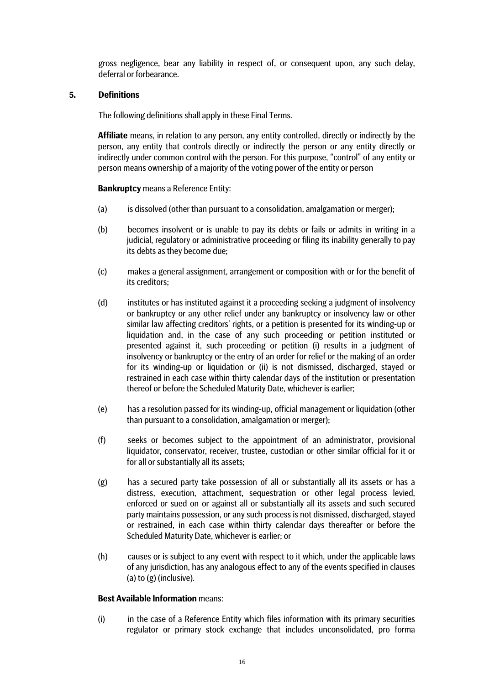gross negligence, bear any liability in respect of, or consequent upon, any such delay, deferral or forbearance.

# **5. Definitions**

The following definitions shall apply in these Final Terms.

**Affiliate** means, in relation to any person, any entity controlled, directly or indirectly by the person, any entity that controls directly or indirectly the person or any entity directly or indirectly under common control with the person. For this purpose, "control" of any entity or person means ownership of a majority of the voting power of the entity or person

**Bankruptcy** means a Reference Entity:

- (a) is dissolved (other than pursuant to a consolidation, amalgamation or merger);
- (b) becomes insolvent or is unable to pay its debts or fails or admits in writing in a judicial, regulatory or administrative proceeding or filing its inability generally to pay its debts as they become due;
- (c) makes a general assignment, arrangement or composition with or for the benefit of its creditors;
- (d) institutes or has instituted against it a proceeding seeking a judgment of insolvency or bankruptcy or any other relief under any bankruptcy or insolvency law or other similar law affecting creditors' rights, or a petition is presented for its winding-up or liquidation and, in the case of any such proceeding or petition instituted or presented against it, such proceeding or petition (i) results in a judgment of insolvency or bankruptcy or the entry of an order for relief or the making of an order for its winding-up or liquidation or (ii) is not dismissed, discharged, stayed or restrained in each case within thirty calendar days of the institution or presentation thereof or before the Scheduled Maturity Date, whichever is earlier;
- (e) has a resolution passed for its winding-up, official management or liquidation (other than pursuant to a consolidation, amalgamation or merger);
- (f) seeks or becomes subject to the appointment of an administrator, provisional liquidator, conservator, receiver, trustee, custodian or other similar official for it or for all or substantially all its assets;
- (g) has a secured party take possession of all or substantially all its assets or has a distress, execution, attachment, sequestration or other legal process levied, enforced or sued on or against all or substantially all its assets and such secured party maintains possession, or any such process is not dismissed, discharged, stayed or restrained, in each case within thirty calendar days thereafter or before the Scheduled Maturity Date, whichever is earlier; or
- (h) causes or is subject to any event with respect to it which, under the applicable laws of any jurisdiction, has any analogous effect to any of the events specified in clauses (a) to (g) (inclusive).

# **Best Available Information** means:

(i) in the case of a Reference Entity which files information with its primary securities regulator or primary stock exchange that includes unconsolidated, pro forma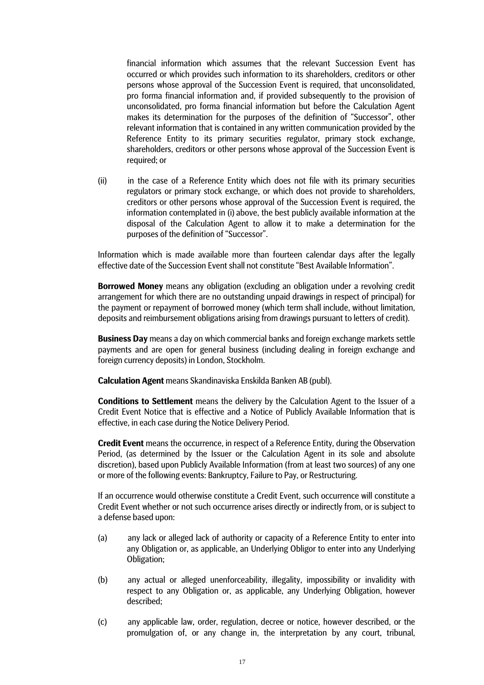financial information which assumes that the relevant Succession Event has occurred or which provides such information to its shareholders, creditors or other persons whose approval of the Succession Event is required, that unconsolidated, pro forma financial information and, if provided subsequently to the provision of unconsolidated, pro forma financial information but before the Calculation Agent makes its determination for the purposes of the definition of "Successor", other relevant information that is contained in any written communication provided by the Reference Entity to its primary securities regulator, primary stock exchange, shareholders, creditors or other persons whose approval of the Succession Event is required; or

(ii) in the case of a Reference Entity which does not file with its primary securities regulators or primary stock exchange, or which does not provide to shareholders, creditors or other persons whose approval of the Succession Event is required, the information contemplated in (i) above, the best publicly available information at the disposal of the Calculation Agent to allow it to make a determination for the purposes of the definition of "Successor".

Information which is made available more than fourteen calendar days after the legally effective date of the Succession Event shall not constitute "Best Available Information".

**Borrowed Money** means any obligation (excluding an obligation under a revolving credit arrangement for which there are no outstanding unpaid drawings in respect of principal) for the payment or repayment of borrowed money (which term shall include, without limitation, deposits and reimbursement obligations arising from drawings pursuant to letters of credit).

**Business Day** means a day on which commercial banks and foreign exchange markets settle payments and are open for general business (including dealing in foreign exchange and foreign currency deposits) in London, Stockholm.

**Calculation Agent** means Skandinaviska Enskilda Banken AB (publ).

**Conditions to Settlement** means the delivery by the Calculation Agent to the Issuer of a Credit Event Notice that is effective and a Notice of Publicly Available Information that is effective, in each case during the Notice Delivery Period.

**Credit Event** means the occurrence, in respect of a Reference Entity, during the Observation Period, (as determined by the Issuer or the Calculation Agent in its sole and absolute discretion), based upon Publicly Available Information (from at least two sources) of any one or more of the following events: Bankruptcy, Failure to Pay, or Restructuring.

If an occurrence would otherwise constitute a Credit Event, such occurrence will constitute a Credit Event whether or not such occurrence arises directly or indirectly from, or is subject to a defense based upon:

- (a) any lack or alleged lack of authority or capacity of a Reference Entity to enter into any Obligation or, as applicable, an Underlying Obligor to enter into any Underlying Obligation;
- (b) any actual or alleged unenforceability, illegality, impossibility or invalidity with respect to any Obligation or, as applicable, any Underlying Obligation, however described;
- (c) any applicable law, order, regulation, decree or notice, however described, or the promulgation of, or any change in, the interpretation by any court, tribunal,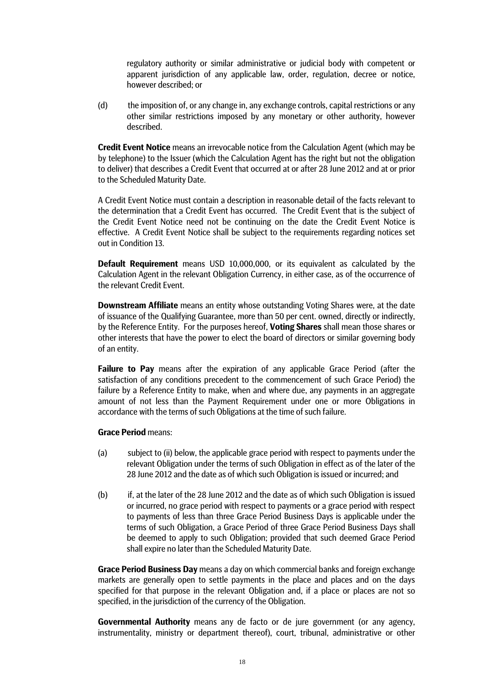regulatory authority or similar administrative or judicial body with competent or apparent jurisdiction of any applicable law, order, regulation, decree or notice, however described; or

(d) the imposition of, or any change in, any exchange controls, capital restrictions or any other similar restrictions imposed by any monetary or other authority, however described.

**Credit Event Notice** means an irrevocable notice from the Calculation Agent (which may be by telephone) to the Issuer (which the Calculation Agent has the right but not the obligation to deliver) that describes a Credit Event that occurred at or after 28 June 2012 and at or prior to the Scheduled Maturity Date.

A Credit Event Notice must contain a description in reasonable detail of the facts relevant to the determination that a Credit Event has occurred. The Credit Event that is the subject of the Credit Event Notice need not be continuing on the date the Credit Event Notice is effective. A Credit Event Notice shall be subject to the requirements regarding notices set out in Condition 13.

**Default Requirement** means USD 10,000,000, or its equivalent as calculated by the Calculation Agent in the relevant Obligation Currency, in either case, as of the occurrence of the relevant Credit Event.

**Downstream Affiliate** means an entity whose outstanding Voting Shares were, at the date of issuance of the Qualifying Guarantee, more than 50 per cent. owned, directly or indirectly, by the Reference Entity. For the purposes hereof, **Voting Shares** shall mean those shares or other interests that have the power to elect the board of directors or similar governing body of an entity.

**Failure to Pay** means after the expiration of any applicable Grace Period (after the satisfaction of any conditions precedent to the commencement of such Grace Period) the failure by a Reference Entity to make, when and where due, any payments in an aggregate amount of not less than the Payment Requirement under one or more Obligations in accordance with the terms of such Obligations at the time of such failure.

# **Grace Period** means:

- (a) subject to (ii) below, the applicable grace period with respect to payments under the relevant Obligation under the terms of such Obligation in effect as of the later of the 28 June 2012 and the date as of which such Obligation is issued or incurred; and
- (b) if, at the later of the 28 June 2012 and the date as of which such Obligation is issued or incurred, no grace period with respect to payments or a grace period with respect to payments of less than three Grace Period Business Days is applicable under the terms of such Obligation, a Grace Period of three Grace Period Business Days shall be deemed to apply to such Obligation; provided that such deemed Grace Period shall expire no later than the Scheduled Maturity Date.

**Grace Period Business Day** means a day on which commercial banks and foreign exchange markets are generally open to settle payments in the place and places and on the days specified for that purpose in the relevant Obligation and, if a place or places are not so specified, in the jurisdiction of the currency of the Obligation.

**Governmental Authority** means any de facto or de jure government (or any agency, instrumentality, ministry or department thereof), court, tribunal, administrative or other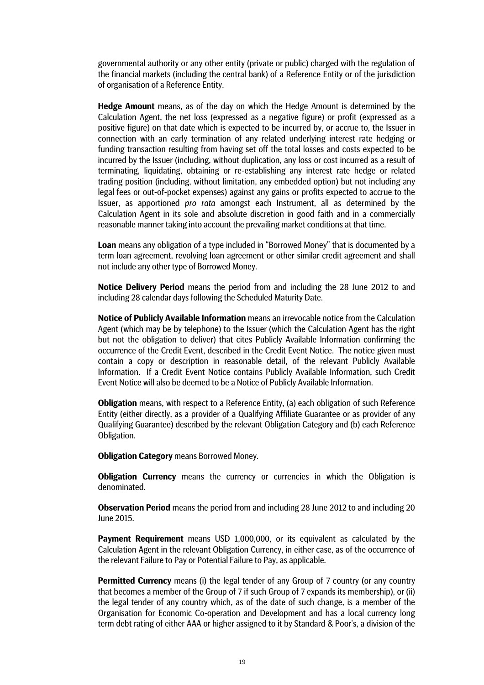governmental authority or any other entity (private or public) charged with the regulation of the financial markets (including the central bank) of a Reference Entity or of the jurisdiction of organisation of a Reference Entity.

**Hedge Amount** means, as of the day on which the Hedge Amount is determined by the Calculation Agent, the net loss (expressed as a negative figure) or profit (expressed as a positive figure) on that date which is expected to be incurred by, or accrue to, the Issuer in connection with an early termination of any related underlying interest rate hedging or funding transaction resulting from having set off the total losses and costs expected to be incurred by the Issuer (including, without duplication, any loss or cost incurred as a result of terminating, liquidating, obtaining or re-establishing any interest rate hedge or related trading position (including, without limitation, any embedded option) but not including any legal fees or out-of-pocket expenses) against any gains or profits expected to accrue to the Issuer, as apportioned *pro rata* amongst each Instrument, all as determined by the Calculation Agent in its sole and absolute discretion in good faith and in a commercially reasonable manner taking into account the prevailing market conditions at that time.

**Loan** means any obligation of a type included in "Borrowed Money" that is documented by a term loan agreement, revolving loan agreement or other similar credit agreement and shall not include any other type of Borrowed Money.

**Notice Delivery Period** means the period from and including the 28 June 2012 to and including 28 calendar days following the Scheduled Maturity Date.

**Notice of Publicly Available Information** means an irrevocable notice from the Calculation Agent (which may be by telephone) to the Issuer (which the Calculation Agent has the right but not the obligation to deliver) that cites Publicly Available Information confirming the occurrence of the Credit Event, described in the Credit Event Notice. The notice given must contain a copy or description in reasonable detail, of the relevant Publicly Available Information. If a Credit Event Notice contains Publicly Available Information, such Credit Event Notice will also be deemed to be a Notice of Publicly Available Information.

**Obligation** means, with respect to a Reference Entity, (a) each obligation of such Reference Entity (either directly, as a provider of a Qualifying Affiliate Guarantee or as provider of any Qualifying Guarantee) described by the relevant Obligation Category and (b) each Reference Obligation.

**Obligation Category** means Borrowed Money.

**Obligation Currency** means the currency or currencies in which the Obligation is denominated.

**Observation Period** means the period from and including 28 June 2012 to and including 20 June 2015.

**Payment Requirement** means USD 1,000,000, or its equivalent as calculated by the Calculation Agent in the relevant Obligation Currency, in either case, as of the occurrence of the relevant Failure to Pay or Potential Failure to Pay, as applicable.

**Permitted Currency** means (i) the legal tender of any Group of 7 country (or any country that becomes a member of the Group of 7 if such Group of 7 expands its membership), or (ii) the legal tender of any country which, as of the date of such change, is a member of the Organisation for Economic Co-operation and Development and has a local currency long term debt rating of either AAA or higher assigned to it by Standard & Poor's, a division of the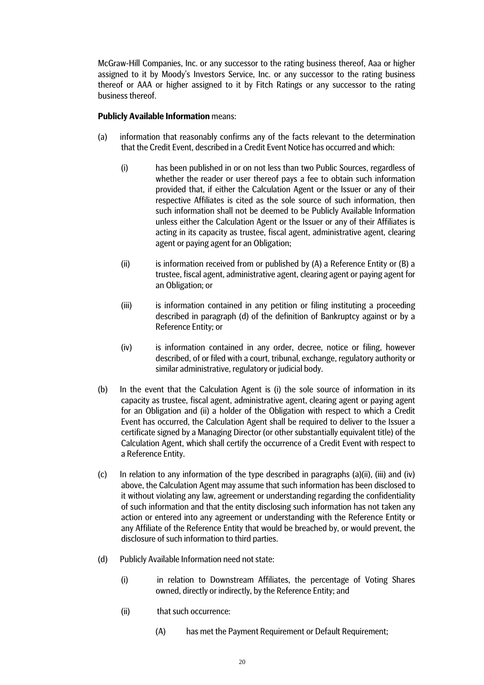McGraw-Hill Companies, Inc. or any successor to the rating business thereof, Aaa or higher assigned to it by Moody's Investors Service, Inc. or any successor to the rating business thereof or AAA or higher assigned to it by Fitch Ratings or any successor to the rating business thereof.

# **Publicly Available Information** means:

- (a) information that reasonably confirms any of the facts relevant to the determination that the Credit Event, described in a Credit Event Notice has occurred and which:
	- (i) has been published in or on not less than two Public Sources, regardless of whether the reader or user thereof pays a fee to obtain such information provided that, if either the Calculation Agent or the Issuer or any of their respective Affiliates is cited as the sole source of such information, then such information shall not be deemed to be Publicly Available Information unless either the Calculation Agent or the Issuer or any of their Affiliates is acting in its capacity as trustee, fiscal agent, administrative agent, clearing agent or paying agent for an Obligation;
	- (ii) is information received from or published by  $(A)$  a Reference Entity or  $(B)$  a trustee, fiscal agent, administrative agent, clearing agent or paying agent for an Obligation; or
	- (iii) is information contained in any petition or filing instituting a proceeding described in paragraph (d) of the definition of Bankruptcy against or by a Reference Entity; or
	- (iv) is information contained in any order, decree, notice or filing, however described, of or filed with a court, tribunal, exchange, regulatory authority or similar administrative, regulatory or judicial body.
- (b) In the event that the Calculation Agent is (i) the sole source of information in its capacity as trustee, fiscal agent, administrative agent, clearing agent or paying agent for an Obligation and (ii) a holder of the Obligation with respect to which a Credit Event has occurred, the Calculation Agent shall be required to deliver to the Issuer a certificate signed by a Managing Director (or other substantially equivalent title) of the Calculation Agent, which shall certify the occurrence of a Credit Event with respect to a Reference Entity.
- (c) In relation to any information of the type described in paragraphs (a)(ii), (iii) and (iv) above, the Calculation Agent may assume that such information has been disclosed to it without violating any law, agreement or understanding regarding the confidentiality of such information and that the entity disclosing such information has not taken any action or entered into any agreement or understanding with the Reference Entity or any Affiliate of the Reference Entity that would be breached by, or would prevent, the disclosure of such information to third parties.
- (d) Publicly Available Information need not state:
	- (i) in relation to Downstream Affiliates, the percentage of Voting Shares owned, directly or indirectly, by the Reference Entity; and
	- (ii) that such occurrence:
		- (A) has met the Payment Requirement or Default Requirement;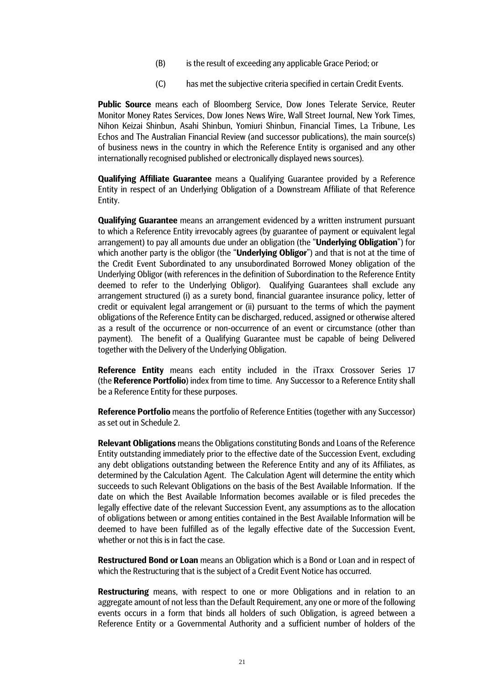- (B) is the result of exceeding any applicable Grace Period; or
- (C) has met the subjective criteria specified in certain Credit Events.

**Public Source** means each of Bloomberg Service, Dow Jones Telerate Service, Reuter Monitor Money Rates Services, Dow Jones News Wire, Wall Street Journal, New York Times, Nihon Keizai Shinbun, Asahi Shinbun, Yomiuri Shinbun, Financial Times, La Tribune, Les Echos and The Australian Financial Review (and successor publications), the main source(s) of business news in the country in which the Reference Entity is organised and any other internationally recognised published or electronically displayed news sources).

**Qualifying Affiliate Guarantee** means a Qualifying Guarantee provided by a Reference Entity in respect of an Underlying Obligation of a Downstream Affiliate of that Reference Entity.

**Qualifying Guarantee** means an arrangement evidenced by a written instrument pursuant to which a Reference Entity irrevocably agrees (by guarantee of payment or equivalent legal arrangement) to pay all amounts due under an obligation (the "**Underlying Obligation**") for which another party is the obligor (the "**Underlying Obligor**") and that is not at the time of the Credit Event Subordinated to any unsubordinated Borrowed Money obligation of the Underlying Obligor (with references in the definition of Subordination to the Reference Entity deemed to refer to the Underlying Obligor). Qualifying Guarantees shall exclude any arrangement structured (i) as a surety bond, financial guarantee insurance policy, letter of credit or equivalent legal arrangement or (ii) pursuant to the terms of which the payment obligations of the Reference Entity can be discharged, reduced, assigned or otherwise altered as a result of the occurrence or non-occurrence of an event or circumstance (other than payment). The benefit of a Qualifying Guarantee must be capable of being Delivered together with the Delivery of the Underlying Obligation.

**Reference Entity** means each entity included in the iTraxx Crossover Series 17 (the **Reference Portfolio**) index from time to time. Any Successor to a Reference Entity shall be a Reference Entity for these purposes.

**Reference Portfolio** means the portfolio of Reference Entities (together with any Successor) as set out in Schedule 2.

**Relevant Obligations** means the Obligations constituting Bonds and Loans of the Reference Entity outstanding immediately prior to the effective date of the Succession Event, excluding any debt obligations outstanding between the Reference Entity and any of its Affiliates, as determined by the Calculation Agent. The Calculation Agent will determine the entity which succeeds to such Relevant Obligations on the basis of the Best Available Information. If the date on which the Best Available Information becomes available or is filed precedes the legally effective date of the relevant Succession Event, any assumptions as to the allocation of obligations between or among entities contained in the Best Available Information will be deemed to have been fulfilled as of the legally effective date of the Succession Event, whether or not this is in fact the case.

**Restructured Bond or Loan** means an Obligation which is a Bond or Loan and in respect of which the Restructuring that is the subject of a Credit Event Notice has occurred.

**Restructuring** means, with respect to one or more Obligations and in relation to an aggregate amount of not less than the Default Requirement, any one or more of the following events occurs in a form that binds all holders of such Obligation, is agreed between a Reference Entity or a Governmental Authority and a sufficient number of holders of the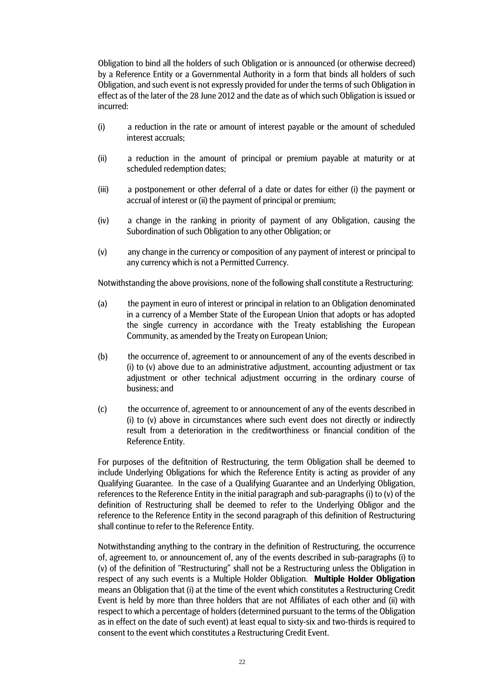Obligation to bind all the holders of such Obligation or is announced (or otherwise decreed) by a Reference Entity or a Governmental Authority in a form that binds all holders of such Obligation, and such event is not expressly provided for under the terms of such Obligation in effect as of the later of the 28 June 2012 and the date as of which such Obligation is issued or incurred:

- (i) a reduction in the rate or amount of interest payable or the amount of scheduled interest accruals;
- (ii) a reduction in the amount of principal or premium payable at maturity or at scheduled redemption dates;
- (iii) a postponement or other deferral of a date or dates for either (i) the payment or accrual of interest or (ii) the payment of principal or premium;
- (iv) a change in the ranking in priority of payment of any Obligation, causing the Subordination of such Obligation to any other Obligation; or
- (v) any change in the currency or composition of any payment of interest or principal to any currency which is not a Permitted Currency.

Notwithstanding the above provisions, none of the following shall constitute a Restructuring:

- (a) the payment in euro of interest or principal in relation to an Obligation denominated in a currency of a Member State of the European Union that adopts or has adopted the single currency in accordance with the Treaty establishing the European Community, as amended by the Treaty on European Union;
- (b) the occurrence of, agreement to or announcement of any of the events described in (i) to (v) above due to an administrative adjustment, accounting adjustment or tax adjustment or other technical adjustment occurring in the ordinary course of business; and
- (c) the occurrence of, agreement to or announcement of any of the events described in (i) to (v) above in circumstances where such event does not directly or indirectly result from a deterioration in the creditworthiness or financial condition of the Reference Entity.

For purposes of the defitnition of Restructuring, the term Obligation shall be deemed to include Underlying Obligations for which the Reference Entity is acting as provider of any Qualifying Guarantee. In the case of a Qualifying Guarantee and an Underlying Obligation, references to the Reference Entity in the initial paragraph and sub-paragraphs (i) to (v) of the definition of Restructuring shall be deemed to refer to the Underlying Obligor and the reference to the Reference Entity in the second paragraph of this definition of Restructuring shall continue to refer to the Reference Entity.

Notwithstanding anything to the contrary in the definition of Restructuring, the occurrence of, agreement to, or announcement of, any of the events described in sub-paragraphs (i) to (v) of the definition of "Restructuring" shall not be a Restructuring unless the Obligation in respect of any such events is a Multiple Holder Obligation. **Multiple Holder Obligation** means an Obligation that (i) at the time of the event which constitutes a Restructuring Credit Event is held by more than three holders that are not Affiliates of each other and (ii) with respect to which a percentage of holders (determined pursuant to the terms of the Obligation as in effect on the date of such event) at least equal to sixty-six and two-thirds is required to consent to the event which constitutes a Restructuring Credit Event.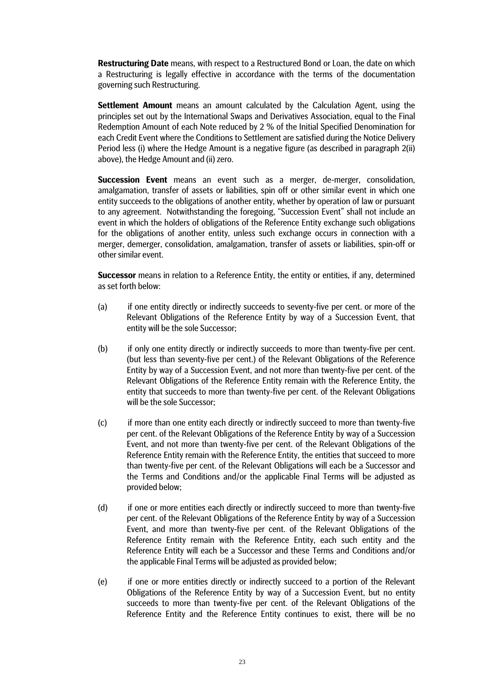**Restructuring Date** means, with respect to a Restructured Bond or Loan, the date on which a Restructuring is legally effective in accordance with the terms of the documentation governing such Restructuring.

**Settlement Amount** means an amount calculated by the Calculation Agent, using the principles set out by the International Swaps and Derivatives Association, equal to the Final Redemption Amount of each Note reduced by 2 % of the Initial Specified Denomination for each Credit Event where the Conditions to Settlement are satisfied during the Notice Delivery Period less (i) where the Hedge Amount is a negative figure (as described in paragraph 2(ii) above), the Hedge Amount and (ii) zero.

**Succession Event** means an event such as a merger, de-merger, consolidation, amalgamation, transfer of assets or liabilities, spin off or other similar event in which one entity succeeds to the obligations of another entity, whether by operation of law or pursuant to any agreement. Notwithstanding the foregoing, "Succession Event" shall not include an event in which the holders of obligations of the Reference Entity exchange such obligations for the obligations of another entity, unless such exchange occurs in connection with a merger, demerger, consolidation, amalgamation, transfer of assets or liabilities, spin-off or other similar event.

**Successor** means in relation to a Reference Entity, the entity or entities, if any, determined as set forth below:

- (a) if one entity directly or indirectly succeeds to seventy-five per cent. or more of the Relevant Obligations of the Reference Entity by way of a Succession Event, that entity will be the sole Successor;
- (b) if only one entity directly or indirectly succeeds to more than twenty-five per cent. (but less than seventy-five per cent.) of the Relevant Obligations of the Reference Entity by way of a Succession Event, and not more than twenty-five per cent. of the Relevant Obligations of the Reference Entity remain with the Reference Entity, the entity that succeeds to more than twenty-five per cent. of the Relevant Obligations will be the sole Successor;
- (c) if more than one entity each directly or indirectly succeed to more than twenty-five per cent. of the Relevant Obligations of the Reference Entity by way of a Succession Event, and not more than twenty-five per cent. of the Relevant Obligations of the Reference Entity remain with the Reference Entity, the entities that succeed to more than twenty-five per cent. of the Relevant Obligations will each be a Successor and the Terms and Conditions and/or the applicable Final Terms will be adjusted as provided below;
- (d) if one or more entities each directly or indirectly succeed to more than twenty-five per cent. of the Relevant Obligations of the Reference Entity by way of a Succession Event, and more than twenty-five per cent. of the Relevant Obligations of the Reference Entity remain with the Reference Entity, each such entity and the Reference Entity will each be a Successor and these Terms and Conditions and/or the applicable Final Terms will be adjusted as provided below;
- (e) if one or more entities directly or indirectly succeed to a portion of the Relevant Obligations of the Reference Entity by way of a Succession Event, but no entity succeeds to more than twenty-five per cent. of the Relevant Obligations of the Reference Entity and the Reference Entity continues to exist, there will be no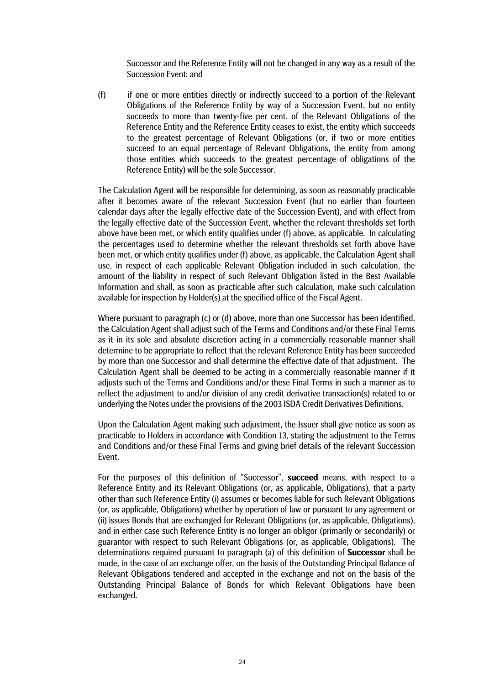Successor and the Reference Entity will not be changed in any way as a result of the Succession Event; and

(f) if one or more entities directly or indirectly succeed to a portion of the Relevant Obligations of the Reference Entity by way of a Succession Event, but no entity succeeds to more than twenty-five per cent. of the Relevant Obligations of the Reference Entity and the Reference Entity ceases to exist, the entity which succeeds to the greatest percentage of Relevant Obligations (or, if two or more entities succeed to an equal percentage of Relevant Obligations, the entity from among those entities which succeeds to the greatest percentage of obligations of the Reference Entity) will be the sole Successor.

The Calculation Agent will be responsible for determining, as soon as reasonably practicable after it becomes aware of the relevant Succession Event (but no earlier than fourteen calendar days after the legally effective date of the Succession Event), and with effect from the legally effective date of the Succession Event, whether the relevant thresholds set forth above have been met, or which entity qualifies under (f) above, as applicable. In calculating the percentages used to determine whether the relevant thresholds set forth above have been met, or which entity qualifies under (f) above, as applicable, the Calculation Agent shall use, in respect of each applicable Relevant Obligation included in such calculation, the amount of the liability in respect of such Relevant Obligation listed in the Best Available Information and shall, as soon as practicable after such calculation, make such calculation available for inspection by Holder(s) at the specified office of the Fiscal Agent.

Where pursuant to paragraph (c) or (d) above, more than one Successor has been identified, the Calculation Agent shall adjust such of the Terms and Conditions and/or these Final Terms as it in its sole and absolute discretion acting in a commercially reasonable manner shall determine to be appropriate to reflect that the relevant Reference Entity has been succeeded by more than one Successor and shall determine the effective date of that adjustment. The Calculation Agent shall be deemed to be acting in a commercially reasonable manner if it adjusts such of the Terms and Conditions and/or these Final Terms in such a manner as to reflect the adjustment to and/or division of any credit derivative transaction(s) related to or underlying the Notes under the provisions of the 2003 ISDA Credit Derivatives Definitions.

Upon the Calculation Agent making such adjustment, the Issuer shall give notice as soon as practicable to Holders in accordance with Condition 13, stating the adjustment to the Terms and Conditions and/or these Final Terms and giving brief details of the relevant Succession Event.

For the purposes of this definition of "Successor", **succeed** means, with respect to a Reference Entity and its Relevant Obligations (or, as applicable, Obligations), that a party other than such Reference Entity (i) assumes or becomes liable for such Relevant Obligations (or, as applicable, Obligations) whether by operation of law or pursuant to any agreement or (ii) issues Bonds that are exchanged for Relevant Obligations (or, as applicable, Obligations), and in either case such Reference Entity is no longer an obligor (primarily or secondarily) or guarantor with respect to such Relevant Obligations (or, as applicable, Obligations). The determinations required pursuant to paragraph (a) of this definition of **Successor** shall be made, in the case of an exchange offer, on the basis of the Outstanding Principal Balance of Relevant Obligations tendered and accepted in the exchange and not on the basis of the Outstanding Principal Balance of Bonds for which Relevant Obligations have been exchanged.